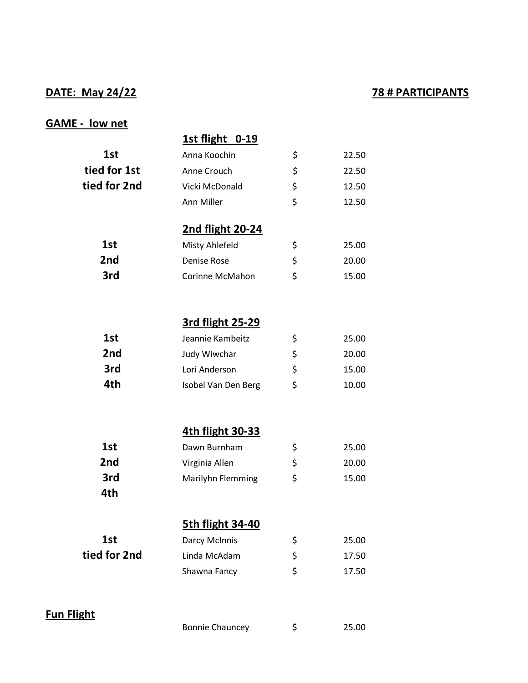### **DATE: May 24/22 78 # PARTICIPANTS**

#### **GAME - low net**

# **1st flight 0-19** 1st **Anna Koochin** \$ 22.50 **tied for 1st** Anne Crouch  $\frac{1}{2}$  22.50 **tied for 2nd** Vicki McDonald  $\uparrow$  \$ 12.50 Ann Miller  $\frac{12.50}{9}$ **2nd flight 20-24** 1st Misty Ahlefeld  $\zeta$  25.00 **2nd Denise Rose**  $\uparrow$  20.00 **3rd Corinne McMahon**  $\frac{15.00}{9.5}$ **3rd flight 25-29 1st 1st** Jeannie Kambeitz  $\frac{1}{5}$  25.00 **2nd** Judy Wiwchar  $\frac{1}{2}$  20.00 **3rd** Lori Anderson \$ 15.00 **4th** Isobel Van Den Berg \$ 10.00 **4th flight 30-33 1st Dawn Burnham**  $\uparrow$  25.00 **2nd Virginia Allen**  $\sqrt{ }$  20.00 **3rd Marilyhn Flemming**  $\sharp$  15.00 **4th 5th flight 34-40** 1st **Darcy McInnis**  $\frac{1}{2}$  25.00 **tied for 2nd** Linda McAdam  $\frac{1}{2}$  17.50 Shawna Fancy  $\uparrow$  \$ 17.50 **Fun Flight**

Bonnie Chauncey  $\qquad \qquad \xi$  25.00